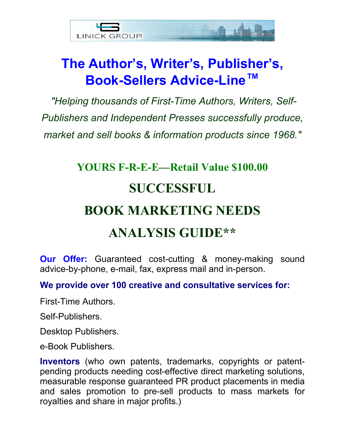

## **The Author's, Writer's, Publisher's, Book-Sellers Advice-Line™**

*"Helping thousands of First-Time Authors, Writers, Self-Publishers and Independent Presses successfully produce, market and sell books & information products since 1968."* 

# **YOURS F-R-E-E—Retail Value \$100.00 SUCCESSFUL BOOK MARKETING NEEDS ANALYSIS GUIDE\*\***

**Our Offer:** Guaranteed cost-cutting & money-making sound advice-by-phone, e-mail, fax, express mail and in-person.

### **We provide over 100 creative and consultative services for:**

First-Time Authors.

Self-Publishers.

Desktop Publishers.

e-Book Publishers.

**Inventors** (who own patents, trademarks, copyrights or patentpending products needing cost-effective direct marketing solutions, measurable response guaranteed PR product placements in media and sales promotion to pre-sell products to mass markets for royalties and share in major profits.)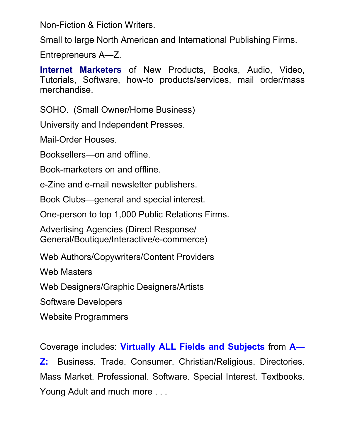Non-Fiction & Fiction Writers.

Small to large North American and International Publishing Firms.

Entrepreneurs A—Z.

**Internet Marketers** of New Products, Books, Audio, Video, Tutorials, Software, how-to products/services, mail order/mass merchandise.

SOHO. (Small Owner/Home Business)

University and Independent Presses.

Mail-Order Houses.

Booksellers—on and offline.

Book-marketers on and offline.

e-Zine and e-mail newsletter publishers.

Book Clubs—general and special interest.

One-person to top 1,000 Public Relations Firms.

Advertising Agencies (Direct Response/ General/Boutique/Interactive/e-commerce)

Web Authors/Copywriters/Content Providers

Web Masters

Web Designers/Graphic Designers/Artists

Software Developers

Website Programmers

Coverage includes: **Virtually ALL Fields and Subjects** from **A—**

**Z:** Business. Trade. Consumer. Christian/Religious. Directories. Mass Market. Professional. Software. Special Interest. Textbooks. Young Adult and much more . . .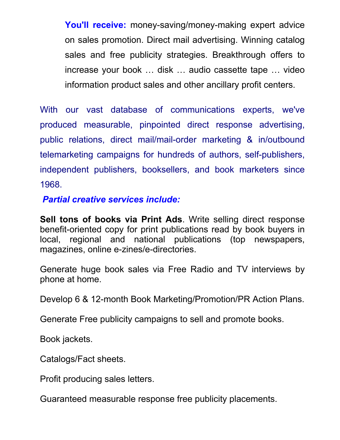**You'll receive:** money-saving/money-making expert advice on sales promotion. Direct mail advertising. Winning catalog sales and free publicity strategies. Breakthrough offers to increase your book … disk … audio cassette tape … video information product sales and other ancillary profit centers.

With our vast database of communications experts, we've produced measurable, pinpointed direct response advertising, public relations, direct mail/mail-order marketing & in/outbound telemarketing campaigns for hundreds of authors, self-publishers, independent publishers, booksellers, and book marketers since 1968.

*Partial creative services include:*

**Sell tons of books via Print Ads**. Write selling direct response benefit-oriented copy for print publications read by book buyers in local, regional and national publications (top newspapers, magazines, online e-zines/e-directories.

Generate huge book sales via Free Radio and TV interviews by phone at home.

Develop 6 & 12-month Book Marketing/Promotion/PR Action Plans.

Generate Free publicity campaigns to sell and promote books.

Book jackets.

Catalogs/Fact sheets.

Profit producing sales letters.

Guaranteed measurable response free publicity placements.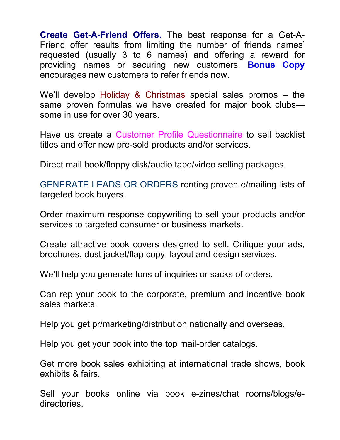**Create Get-A-Friend Offers.** The best response for a Get-A-Friend offer results from limiting the number of friends names' requested (usually 3 to 6 names) and offering a reward for providing names or securing new customers. **Bonus Copy** encourages new customers to refer friends now.

We'll develop Holiday & Christmas special sales promos – the same proven formulas we have created for major book clubs some in use for over 30 years.

Have us create a Customer Profile Questionnaire to sell backlist titles and offer new pre-sold products and/or services.

Direct mail book/floppy disk/audio tape/video selling packages.

GENERATE LEADS OR ORDERS renting proven e/mailing lists of targeted book buyers.

Order maximum response copywriting to sell your products and/or services to targeted consumer or business markets.

Create attractive book covers designed to sell. Critique your ads, brochures, dust jacket/flap copy, layout and design services.

We'll help you generate tons of inquiries or sacks of orders.

Can rep your book to the corporate, premium and incentive book sales markets.

Help you get pr/marketing/distribution nationally and overseas.

Help you get your book into the top mail-order catalogs.

Get more book sales exhibiting at international trade shows, book exhibits & fairs.

Sell your books online via book e-zines/chat rooms/blogs/edirectories.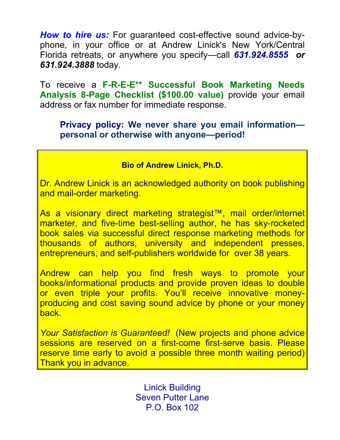*How to hire us:* For guaranteed cost-effective sound advice-byphone, in your office or at Andrew Linick's New York/Central Florida retreats, or anywhere you specify—call *631.924.8555 or 631.924.3888* today.

To receive a **F-R-E-E\*\* Successful Book Marketing Needs Analysis 8-Page Checklist (\$100.00 value)** provide your email address or fax number for immediate response.

#### **Privacy policy: We never share you email information personal or otherwise with anyone—period!**

#### **Bio of Andrew Linick, Ph.D.**

Dr. Andrew Linick is an acknowledged authority on book publishing and mail-order marketing.

As a visionary direct marketing strategist™, mail order/internet marketer, and five-time best-selling author, he has sky-rocketed book sales via successful direct response marketing methods for thousands of authors, university and independent presses, entrepreneurs, and self-publishers worldwide for over 38 years.

Andrew can help you find fresh ways to promote your books/informational products and provide proven ideas to double or even triple your profits. You'll receive innovative moneyproducing and cost saving sound advice by phone or your money back.

*Your Satisfaction is Guaranteed!* (New projects and phone advice sessions are reserved on a first-come first-serve basis. Please reserve time early to avoid a possible three month waiting period) Thank you in advance.

> Linick Building Seven Putter Lane P.O. Box 102